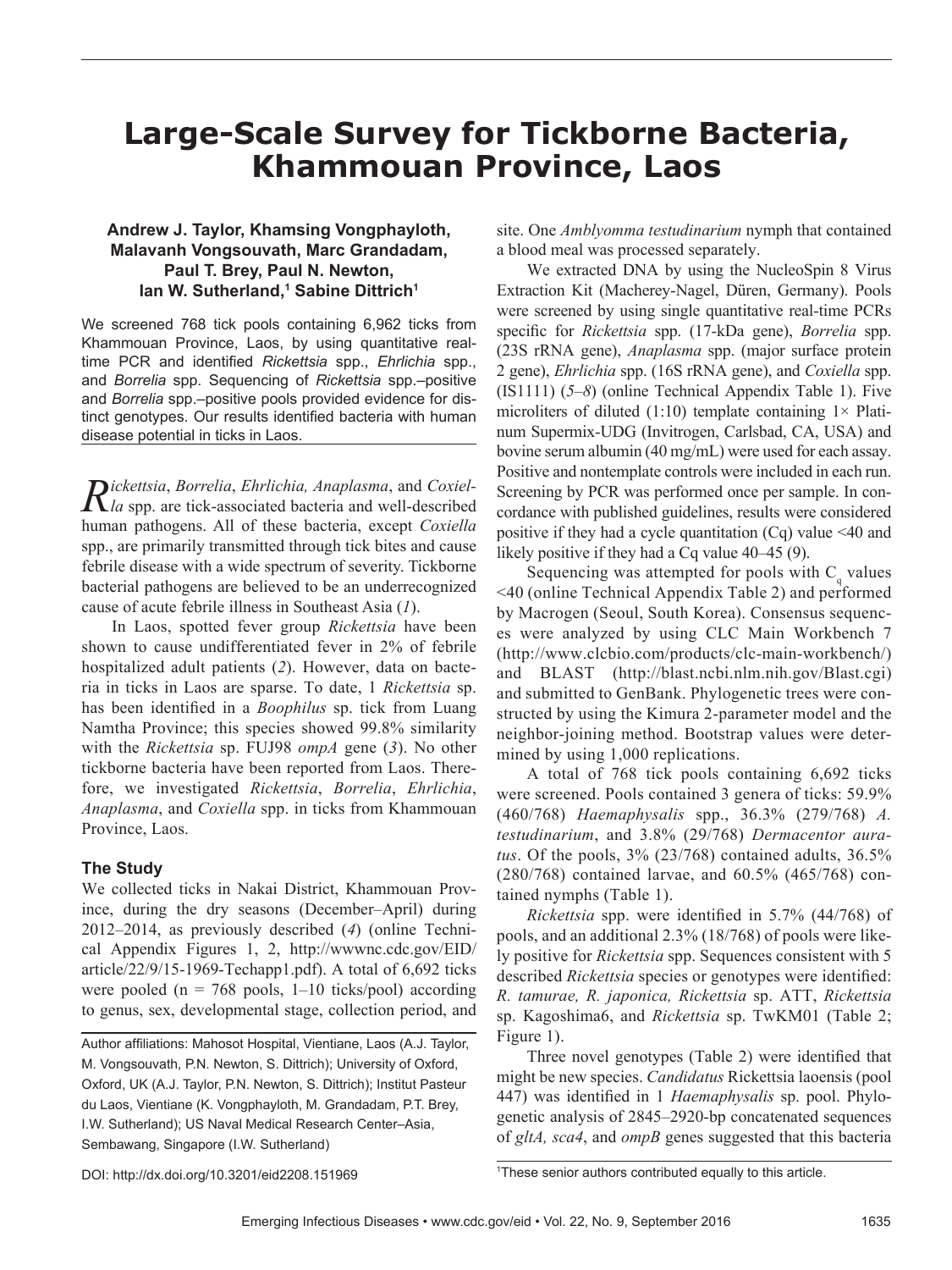# **Large-Scale Survey for Tickborne Bacteria, Khammouan Province, Laos**

## **Andrew J. Taylor, Khamsing Vongphayloth, Malavanh Vongsouvath, Marc Grandadam, Paul T. Brey, Paul N. Newton,**  lan W. Sutherland,<sup>1</sup> Sabine Dittrich<sup>1</sup>

We screened 768 tick pools containing 6,962 ticks from Khammouan Province, Laos, by using quantitative realtime PCR and identified *Rickettsia* spp., *Ehrlichia* spp., and *Borrelia* spp. Sequencing of *Rickettsia* spp.–positive and *Borrelia* spp.–positive pools provided evidence for distinct genotypes. Our results identified bacteria with human disease potential in ticks in Laos.

*Rickettsia*, *Borrelia*, *Ehrlichia, Anaplasma*, and *Coxiel-la* spp. are tick-associated bacteria and well-described human pathogens. All of these bacteria, except *Coxiella* spp., are primarily transmitted through tick bites and cause febrile disease with a wide spectrum of severity. Tickborne bacterial pathogens are believed to be an underrecognized cause of acute febrile illness in Southeast Asia (*1*).

In Laos, spotted fever group *Rickettsia* have been shown to cause undifferentiated fever in 2% of febrile hospitalized adult patients (*2*). However, data on bacteria in ticks in Laos are sparse. To date, 1 *Rickettsia* sp. has been identified in a *Boophilus* sp. tick from Luang Namtha Province; this species showed 99.8% similarity with the *Rickettsia* sp. FUJ98 *ompA* gene (*3*). No other tickborne bacteria have been reported from Laos. Therefore, we investigated *Rickettsia*, *Borrelia*, *Ehrlichia*, *Anaplasma*, and *Coxiella* spp. in ticks from Khammouan Province, Laos.

#### **The Study**

We collected ticks in Nakai District, Khammouan Province, during the dry seasons (December–April) during 2012–2014, as previously described (*4*) (online Technical Appendix Figures 1, 2, http://wwwnc.cdc.gov/EID/ article/22/9/15-1969-Techapp1.pdf). A total of 6,692 ticks were pooled ( $n = 768$  pools, 1–10 ticks/pool) according to genus, sex, developmental stage, collection period, and

Author affiliations: Mahosot Hospital, Vientiane, Laos (A.J. Taylor, M. Vongsouvath, P.N. Newton, S. Dittrich); University of Oxford, Oxford, UK (A.J. Taylor, P.N. Newton, S. Dittrich); Institut Pasteur du Laos, Vientiane (K. Vongphayloth, M. Grandadam, P.T. Brey, I.W. Sutherland); US Naval Medical Research Center–Asia, Sembawang, Singapore (I.W. Sutherland)

site. One *Amblyomma testudinarium* nymph that contained a blood meal was processed separately.

We extracted DNA by using the NucleoSpin 8 Virus Extraction Kit (Macherey-Nagel, Düren, Germany). Pools were screened by using single quantitative real-time PCRs specific for *Rickettsia* spp. (17-kDa gene), *Borrelia* spp. (23S rRNA gene), *Anaplasma* spp. (major surface protein 2 gene), *Ehrlichia* spp. (16S rRNA gene), and *Coxiella* spp. (IS1111) (*5*–*8*) (online Technical Appendix Table 1). Five microliters of diluted (1:10) template containing  $1 \times$  Platinum Supermix-UDG (Invitrogen, Carlsbad, CA, USA) and bovine serum albumin (40 mg/mL) were used for each assay. Positive and nontemplate controls were included in each run. Screening by PCR was performed once per sample. In concordance with published guidelines, results were considered positive if they had a cycle quantitation  $(Cq)$  value <40 and likely positive if they had a Cq value 40–45 (9).

Sequencing was attempted for pools with  $C_q$  values <40 (online Technical Appendix Table 2) and performed by Macrogen (Seoul, South Korea). Consensus sequences were analyzed by using CLC Main Workbench 7 (http://www.clcbio.com/products/clc-main-workbench/) and BLAST (http://blast.ncbi.nlm.nih.gov/Blast.cgi) and submitted to GenBank. Phylogenetic trees were constructed by using the Kimura 2-parameter model and the neighbor-joining method. Bootstrap values were determined by using 1,000 replications.

A total of 768 tick pools containing 6,692 ticks were screened. Pools contained 3 genera of ticks: 59.9% (460/768) *Haemaphysalis* spp., 36.3% (279/768) *A. testudinarium*, and 3.8% (29/768) *Dermacentor auratus*. Of the pools, 3% (23/768) contained adults, 36.5% (280/768) contained larvae, and 60.5% (465/768) contained nymphs (Table 1).

*Rickettsia* spp. were identified in 5.7% (44/768) of pools, and an additional 2.3% (18/768) of pools were likely positive for *Rickettsia* spp. Sequences consistent with 5 described *Rickettsia* species or genotypes were identified: *R. tamurae, R. japonica, Rickettsia* sp. ATT, *Rickettsia*  sp. Kagoshima6, and *Rickettsia* sp. TwKM01 (Table 2; Figure 1).

Three novel genotypes (Table 2) were identified that might be new species. *Candidatus* Rickettsia laoensis (pool 447) was identified in 1 *Haemaphysalis* sp. pool. Phylogenetic analysis of 2845–2920-bp concatenated sequences of *gltA, sca4*, and *ompB* genes suggested that this bacteria

DOI: http://dx.doi.org/10.3201/eid2208.151969 <sup>1</sup>

<sup>&</sup>lt;sup>1</sup>These senior authors contributed equally to this article.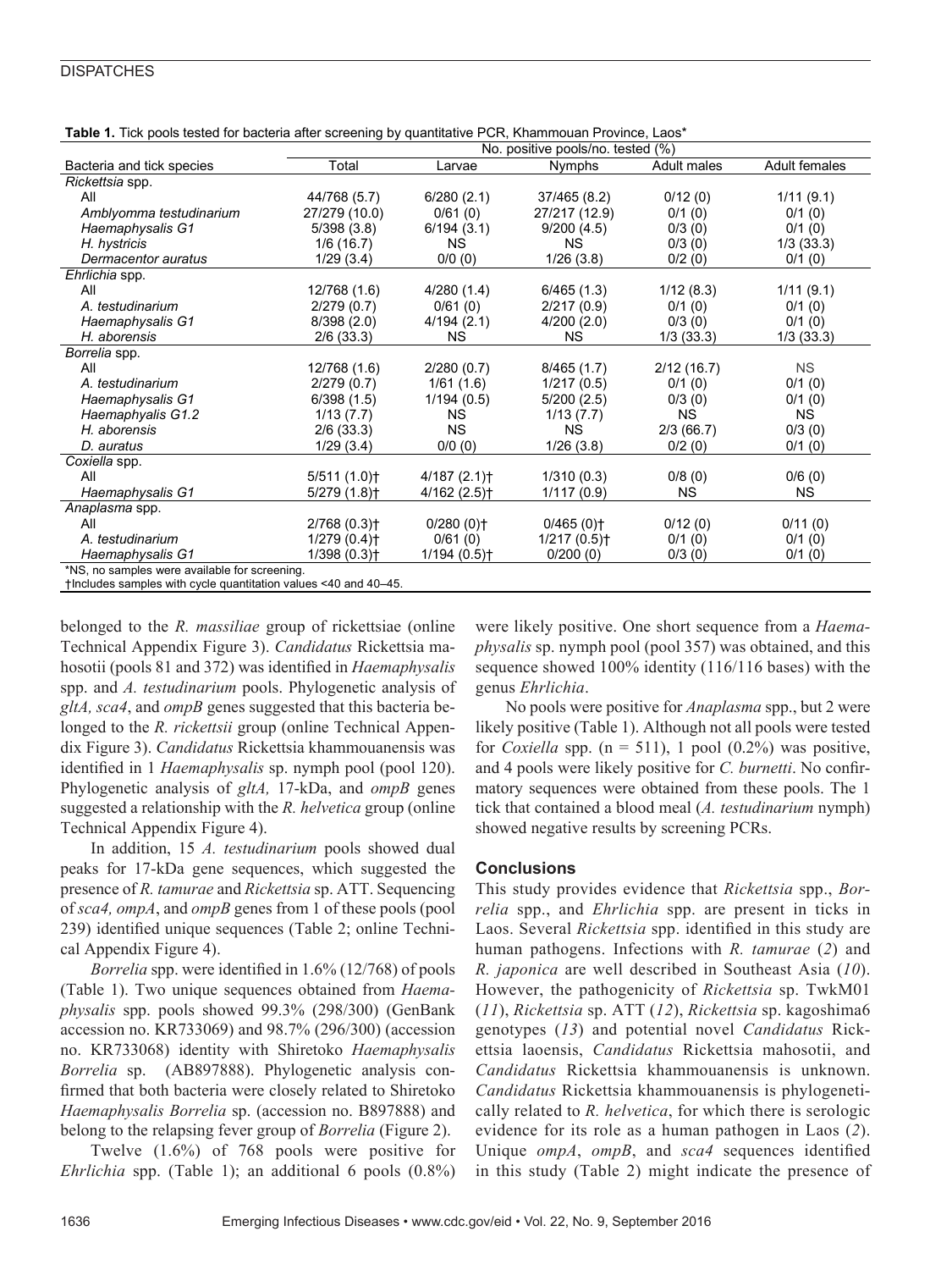### **DISPATCHES**

|                                                                 | <b>Table 1.</b> Tion pools icsica for bacicità anchesic ring by quantitative i Ory, infarmibuari i fovince, Laos<br>No. positive pools/no. tested (%) |                         |                           |             |               |  |  |  |
|-----------------------------------------------------------------|-------------------------------------------------------------------------------------------------------------------------------------------------------|-------------------------|---------------------------|-------------|---------------|--|--|--|
| Bacteria and tick species                                       | Total                                                                                                                                                 | Larvae                  | <b>Nymphs</b>             | Adult males | Adult females |  |  |  |
| Rickettsia spp.                                                 |                                                                                                                                                       |                         |                           |             |               |  |  |  |
| All                                                             | 44/768 (5.7)                                                                                                                                          | 6/280(2.1)              | 37/465 (8.2)              | 0/12(0)     | 1/11(9.1)     |  |  |  |
| Amblyomma testudinarium                                         | 27/279 (10.0)                                                                                                                                         | 0/61(0)                 | 27/217 (12.9)             | 0/1(0)      | 0/1(0)        |  |  |  |
| Haemaphysalis G1                                                | 5/398(3.8)                                                                                                                                            | 6/194(3.1)              | 9/200(4.5)                | 0/3(0)      | 0/1(0)        |  |  |  |
| H. hystricis                                                    | 1/6(16.7)                                                                                                                                             | <b>NS</b>               | NS.                       | 0/3(0)      | 1/3(33.3)     |  |  |  |
| Dermacentor auratus                                             | 1/29(3.4)                                                                                                                                             | 0/0(0)                  | 1/26(3.8)                 | 0/2(0)      | 0/1(0)        |  |  |  |
| Ehrlichia spp.                                                  |                                                                                                                                                       |                         |                           |             |               |  |  |  |
| All                                                             | 12/768 (1.6)                                                                                                                                          | 4/280(1.4)              | 6/465(1.3)                | 1/12(8.3)   | 1/11(9.1)     |  |  |  |
| A. testudinarium                                                | 2/279(0.7)                                                                                                                                            | 0/61(0)                 | 2/217(0.9)                | 0/1(0)      | 0/1(0)        |  |  |  |
| Haemaphysalis G1                                                | 8/398(2.0)                                                                                                                                            | 4/194(2.1)              | 4/200(2.0)                | 0/3(0)      | 0/1(0)        |  |  |  |
| H. aborensis                                                    | $2/6$ (33.3)                                                                                                                                          | NS.                     | NS.                       | 1/3(33.3)   | 1/3(33.3)     |  |  |  |
| Borrelia spp.                                                   |                                                                                                                                                       |                         |                           |             |               |  |  |  |
| All                                                             | 12/768 (1.6)                                                                                                                                          | 2/280(0.7)              | 8/465(1.7)                | 2/12(16.7)  | <b>NS</b>     |  |  |  |
| A. testudinarium                                                | 2/279(0.7)                                                                                                                                            | 1/61(1.6)               | 1/217(0.5)                | 0/1(0)      | 0/1(0)        |  |  |  |
| Haemaphysalis G1                                                | 6/398(1.5)                                                                                                                                            | 1/194(0.5)              | 5/200(2.5)                | 0/3(0)      | 0/1(0)        |  |  |  |
| Haemaphyalis G1.2                                               | 1/13(7.7)                                                                                                                                             | <b>NS</b>               | 1/13(7.7)                 | <b>NS</b>   | <b>NS</b>     |  |  |  |
| H. aborensis                                                    | $2/6$ (33.3)                                                                                                                                          | <b>NS</b>               | NS.                       | 2/3(66.7)   | 0/3(0)        |  |  |  |
| D. auratus                                                      | 1/29(3.4)                                                                                                                                             | 0/0(0)                  | 1/26(3.8)                 | 0/2(0)      | 0/1(0)        |  |  |  |
| Coxiella spp.                                                   |                                                                                                                                                       |                         |                           |             |               |  |  |  |
| All                                                             | 5/511(1.0)                                                                                                                                            | 4/187(2.1)              | 1/310(0.3)                | 0/8(0)      | 0/6(0)        |  |  |  |
| Haemaphysalis G1                                                | 5/279 (1.8)†                                                                                                                                          | 4/162(2.5)              | 1/117(0.9)                | NS.         | NS.           |  |  |  |
| Anaplasma spp.                                                  |                                                                                                                                                       |                         |                           |             |               |  |  |  |
| All                                                             | $2/768(0.3)$ <sup>+</sup>                                                                                                                             | $0/280(0)$ <sup>+</sup> | 0/465(0)                  | 0/12(0)     | 0/11(0)       |  |  |  |
| A. testudinarium                                                | 1/279(0.4)                                                                                                                                            | 0/61(0)                 | $1/217(0.5)$ <sup>+</sup> | 0/1(0)      | 0/1(0)        |  |  |  |
| Haemaphysalis G1                                                | 1/398(0.3)                                                                                                                                            | 1/194(0.5)              | 0/200(0)                  | 0/3(0)      | 0/1(0)        |  |  |  |
| *NS, no samples were available for screening.                   |                                                                                                                                                       |                         |                           |             |               |  |  |  |
| tincludes samples with cycle quantitation values <40 and 40-45. |                                                                                                                                                       |                         |                           |             |               |  |  |  |

**Table 1.** Tick pools tested for bacteria after screening by quantitative PCR, Khammouan Province, Laos\*

belonged to the *R. massiliae* group of rickettsiae (online Technical Appendix Figure 3). *Candidatus* Rickettsia mahosotii (pools 81 and 372) was identified in *Haemaphysalis* spp. and *A. testudinarium* pools. Phylogenetic analysis of *gltA, sca4*, and *ompB* genes suggested that this bacteria belonged to the *R. rickettsii* group (online Technical Appendix Figure 3). *Candidatus* Rickettsia khammouanensis was identified in 1 *Haemaphysalis* sp. nymph pool (pool 120). Phylogenetic analysis of *gltA,* 17-kDa, and *ompB* genes suggested a relationship with the *R. helvetica* group (online Technical Appendix Figure 4).

In addition, 15 *A. testudinarium* pools showed dual peaks for 17-kDa gene sequences, which suggested the presence of *R. tamurae* and *Rickettsia* sp. ATT. Sequencing of *sca4, ompA*, and *ompB* genes from 1 of these pools (pool 239) identified unique sequences (Table 2; online Technical Appendix Figure 4).

*Borrelia* spp. were identified in 1.6% (12/768) of pools (Table 1). Two unique sequences obtained from *Haemaphysalis* spp. pools showed 99.3% (298/300) (GenBank accession no. KR733069) and 98.7% (296/300) (accession no. KR733068) identity with Shiretoko *Haemaphysalis Borrelia* sp. (AB897888). Phylogenetic analysis confirmed that both bacteria were closely related to Shiretoko *Haemaphysalis Borrelia* sp. (accession no. B897888) and belong to the relapsing fever group of *Borrelia* (Figure 2).

Twelve (1.6%) of 768 pools were positive for *Ehrlichia* spp. (Table 1); an additional 6 pools (0.8%) were likely positive. One short sequence from a *Haemaphysalis* sp. nymph pool (pool 357) was obtained, and this sequence showed 100% identity (116/116 bases) with the genus *Ehrlichia*.

No pools were positive for *Anaplasma* spp., but 2 were likely positive (Table 1). Although not all pools were tested for *Coxiella* spp.  $(n = 511)$ , 1 pool  $(0.2\%)$  was positive, and 4 pools were likely positive for *C. burnetti*. No confirmatory sequences were obtained from these pools. The 1 tick that contained a blood meal (*A. testudinarium* nymph) showed negative results by screening PCRs.

## **Conclusions**

This study provides evidence that *Rickettsia* spp., *Borrelia* spp., and *Ehrlichia* spp. are present in ticks in Laos. Several *Rickettsia* spp. identified in this study are human pathogens. Infections with *R. tamurae* (*2*) and *R. japonica* are well described in Southeast Asia (*10*). However, the pathogenicity of *Rickettsia* sp. TwkM01 (*11*), *Rickettsia* sp. ATT (*12*), *Rickettsia* sp. kagoshima6 genotypes (*13*) and potential novel *Candidatus* Rickettsia laoensis, *Candidatus* Rickettsia mahosotii, and *Candidatus* Rickettsia khammouanensis is unknown. *Candidatus* Rickettsia khammouanensis is phylogenetically related to *R. helvetica*, for which there is serologic evidence for its role as a human pathogen in Laos (*2*). Unique *ompA*, *ompB*, and *sca4* sequences identified in this study (Table 2) might indicate the presence of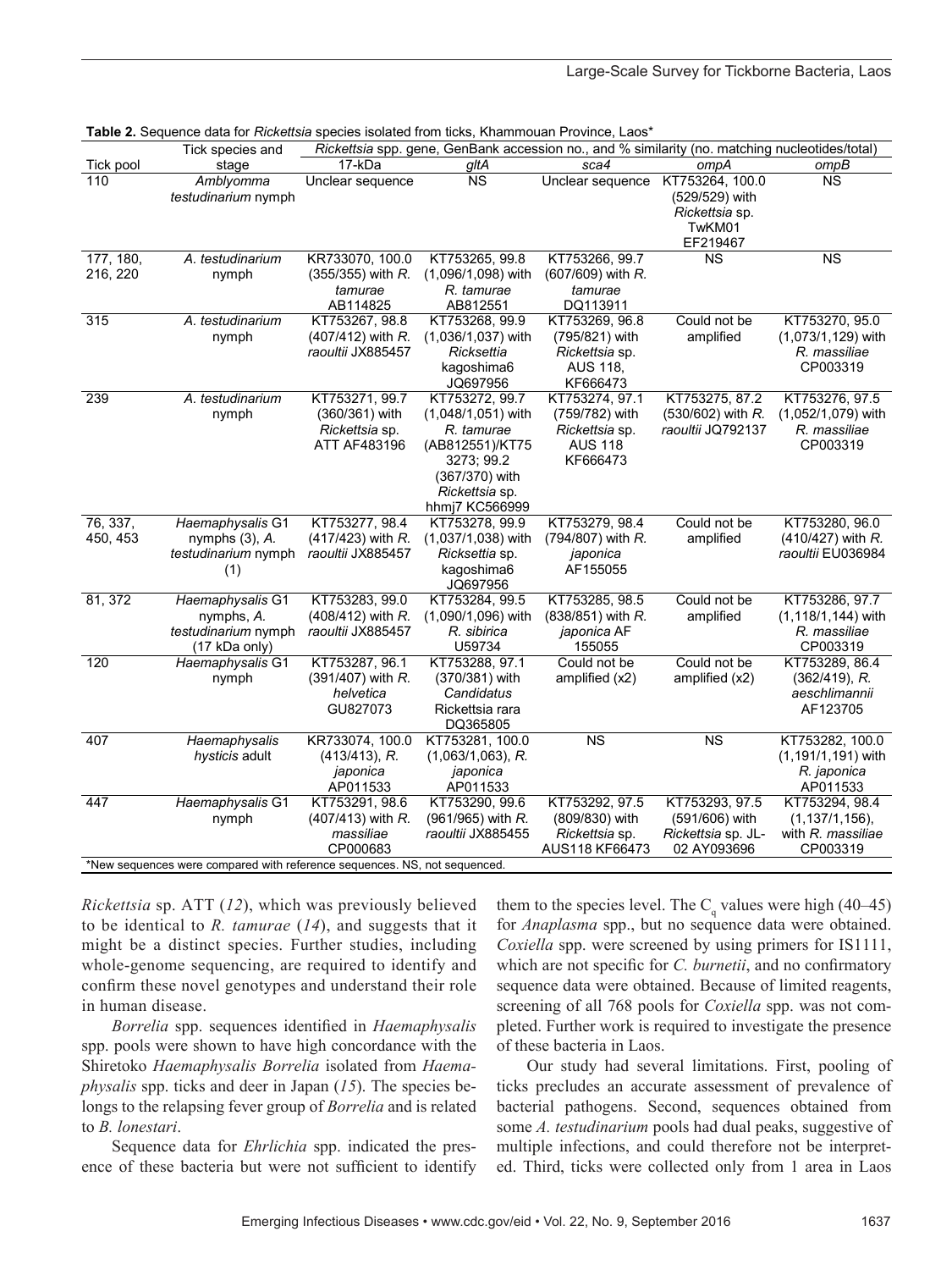|                                                                           | Tick species and                                                       |                                                                           |                                                                                                                                           | Rickettsia spp. gene, GenBank accession no., and % similarity (no. matching nucleotides/total) |                                                                              |                                                                        |  |  |
|---------------------------------------------------------------------------|------------------------------------------------------------------------|---------------------------------------------------------------------------|-------------------------------------------------------------------------------------------------------------------------------------------|------------------------------------------------------------------------------------------------|------------------------------------------------------------------------------|------------------------------------------------------------------------|--|--|
| Tick pool                                                                 | stage                                                                  | 17-kDa                                                                    | gltA                                                                                                                                      | sca4                                                                                           | ompA                                                                         | ompB                                                                   |  |  |
| 110                                                                       | Amblyomma<br><i>testudinarium</i> nymph                                | Unclear sequence                                                          | $\overline{\text{NS}}$                                                                                                                    | Unclear sequence                                                                               | KT753264, 100.0<br>(529/529) with<br>Rickettsia sp.<br>TwKM01<br>EF219467    | <b>NS</b>                                                              |  |  |
| 177, 180,<br>216, 220                                                     | A. testudinarium<br>nymph                                              | KR733070, 100.0<br>$(355/355)$ with R.<br>tamurae<br>AB114825             | KT753265, 99.8<br>(1,096/1,098) with<br>R. tamurae<br>AB812551                                                                            | KT753266, 99.7<br>(607/609) with R.<br>tamurae<br>DQ113911                                     | <b>NS</b>                                                                    | <b>NS</b>                                                              |  |  |
| 315                                                                       | A. testudinarium<br>nymph                                              | KT753267, 98.8<br>(407/412) with R.<br>raoultii JX885457                  | KT753268, 99.9<br>(1,036/1,037) with<br>Ricksettia<br>kagoshima6<br>JQ697956                                                              | KT753269, 96.8<br>(795/821) with<br><i>Rickettsia</i> sp.<br>AUS 118,<br>KF666473              | Could not be<br>amplified                                                    | KT753270, 95.0<br>(1,073/1,129) with<br>R. massiliae<br>CP003319       |  |  |
| 239                                                                       | A. testudinarium<br>nymph                                              | KT753271, 99.7<br>(360/361) with<br><i>Rickettsia</i> sp.<br>ATT AF483196 | KT753272, 99.7<br>(1,048/1,051) with<br>R. tamurae<br>(AB812551)/KT75<br>3273; 99.2<br>(367/370) with<br>Rickettsia sp.<br>hhmj7 KC566999 | KT753274, 97.1<br>(759/782) with<br><i>Rickettsia</i> sp.<br>AUS 118<br>KF666473               | KT753275, 87.2<br>(530/602) with R.<br>raoultii JQ792137                     | KT753276, 97.5<br>(1,052/1,079) with<br>R. massiliae<br>CP003319       |  |  |
| 76, 337,<br>450, 453                                                      | Haemaphysalis G1<br>nymphs $(3)$ , $A$ .<br>testudinarium nymph<br>(1) | KT753277, 98.4<br>(417/423) with R.<br>raoultii JX885457                  | KT753278, 99.9<br>(1,037/1,038) with<br><i>Ricksettia</i> sp.<br>kagoshima6<br>JQ697956                                                   | KT753279, 98.4<br>(794/807) with R.<br>japonica<br>AF155055                                    | Could not be<br>amplified                                                    | KT753280, 96.0<br>(410/427) with R.<br>raoultii EU036984               |  |  |
| 81, 372                                                                   | Haemaphysalis G1<br>nymphs, A.<br>testudinarium nymph<br>(17 kDa only) | KT753283, 99.0<br>(408/412) with R.<br>raoultii JX885457                  | KT753284, 99.5<br>(1,090/1,096) with<br>R. sibirica<br>U59734                                                                             | KT753285, 98.5<br>$(838/851)$ with R.<br>japonica AF<br>155055                                 | Could not be<br>amplified                                                    | KT753286, 97.7<br>$(1, 118/1, 144)$ with<br>R. massiliae<br>CP003319   |  |  |
| 120                                                                       | Haemaphysalis G1<br>nymph                                              | KT753287, 96.1<br>(391/407) with R.<br>helvetica<br>GU827073              | KT753288, 97.1<br>(370/381) with<br>Candidatus<br>Rickettsia rara<br>DQ365805                                                             | Could not be<br>amplified (x2)                                                                 | Could not be<br>amplified (x2)                                               | KT753289, 86.4<br>$(362/419)$ , R.<br>aeschlimannii<br>AF123705        |  |  |
| 407                                                                       | Haemaphysalis<br>hysticis adult                                        | KR733074, 100.0<br>$(413/413)$ , R.<br>japonica<br>AP011533               | KT753281, 100.0<br>$(1,063/1,063)$ , R.<br>japonica<br>AP011533                                                                           | <b>NS</b>                                                                                      | <b>NS</b>                                                                    | KT753282, 100.0<br>$(1, 191/1, 191)$ with<br>R. japonica<br>AP011533   |  |  |
| 447                                                                       | Haemaphysalis G1<br>nymph                                              | KT753291, 98.6<br>(407/413) with R.<br>massiliae<br>CP000683              | KT753290, 99.6<br>$(961/965)$ with R.<br>raoultii JX885455                                                                                | KT753292, 97.5<br>(809/830) with<br>Rickettsia sp.<br>AUS118 KF66473                           | KT753293, 97.5<br>(591/606) with<br><i>Rickettsia</i> sp. JL-<br>02 AY093696 | KT753294, 98.4<br>$(1, 137/1, 156)$ ,<br>with R. massiliae<br>CP003319 |  |  |
| *New sequences were compared with reference sequences. NS, not sequenced. |                                                                        |                                                                           |                                                                                                                                           |                                                                                                |                                                                              |                                                                        |  |  |

**Table 2.** Sequence data for *Rickettsia* species isolated from ticks, Khammouan Province, Laos\*

*Rickettsia* sp. ATT (*12*), which was previously believed to be identical to *R. tamurae* (*14*), and suggests that it might be a distinct species. Further studies, including whole-genome sequencing, are required to identify and confirm these novel genotypes and understand their role in human disease.

*Borrelia* spp. sequences identified in *Haemaphysalis* spp. pools were shown to have high concordance with the Shiretoko *Haemaphysalis Borrelia* isolated from *Haemaphysalis* spp. ticks and deer in Japan (*15*). The species belongs to the relapsing fever group of *Borrelia* and is related to *B. lonestari*.

Sequence data for *Ehrlichia* spp. indicated the presence of these bacteria but were not sufficient to identify

them to the species level. The  $C_q$  values were high (40–45) for *Anaplasma* spp., but no sequence data were obtained. *Coxiella* spp. were screened by using primers for IS1111, which are not specific for *C. burnetii*, and no confirmatory sequence data were obtained. Because of limited reagents, screening of all 768 pools for *Coxiella* spp. was not completed. Further work is required to investigate the presence of these bacteria in Laos.

Our study had several limitations. First, pooling of ticks precludes an accurate assessment of prevalence of bacterial pathogens. Second, sequences obtained from some *A. testudinarium* pools had dual peaks, suggestive of multiple infections, and could therefore not be interpreted. Third, ticks were collected only from 1 area in Laos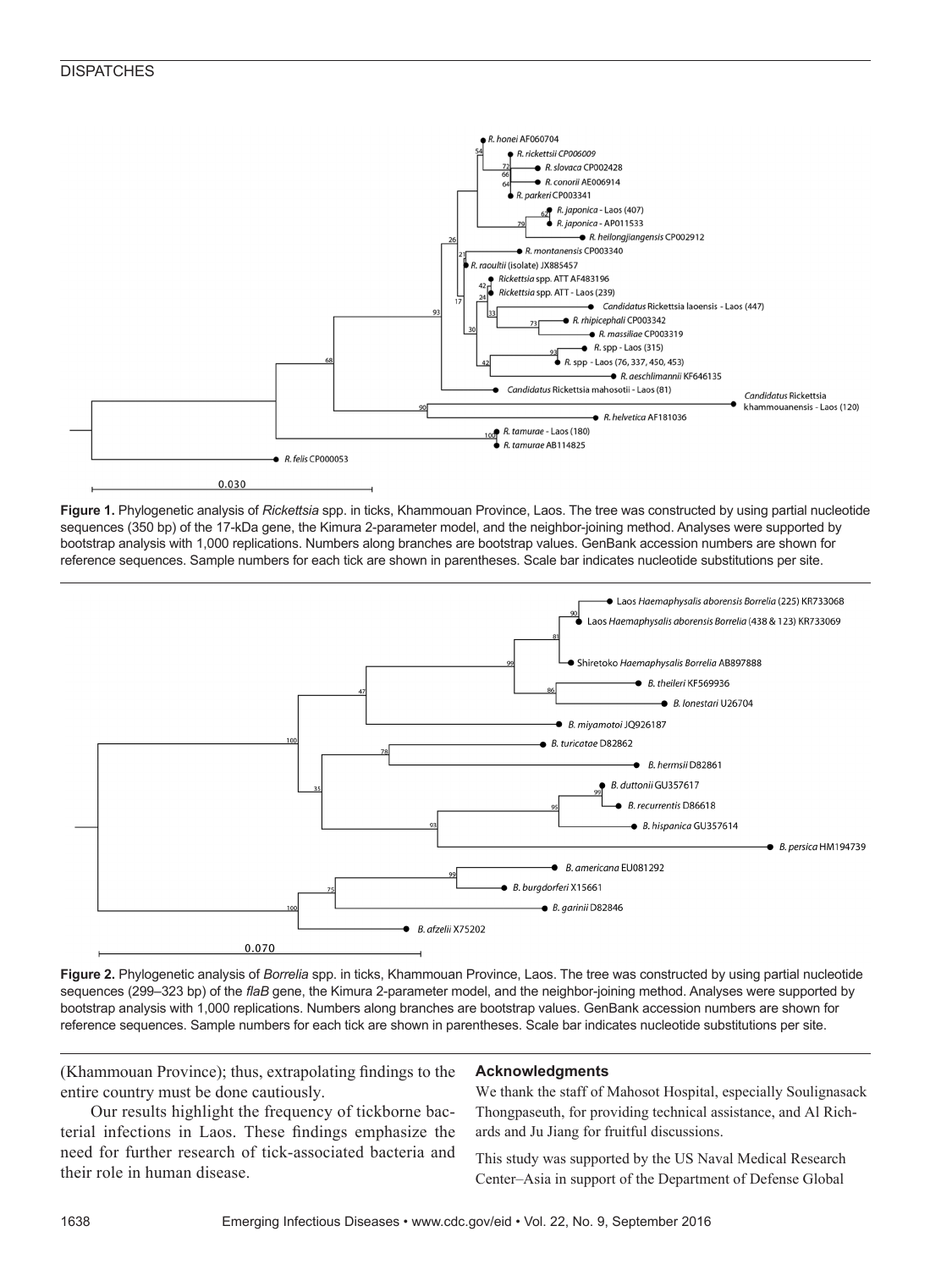

**Figure 1.** Phylogenetic analysis of *Rickettsia* spp. in ticks, Khammouan Province, Laos. The tree was constructed by using partial nucleotide sequences (350 bp) of the 17-kDa gene, the Kimura 2-parameter model, and the neighbor-joining method. Analyses were supported by bootstrap analysis with 1,000 replications. Numbers along branches are bootstrap values. GenBank accession numbers are shown for reference sequences. Sample numbers for each tick are shown in parentheses. Scale bar indicates nucleotide substitutions per site.



**Figure 2.** Phylogenetic analysis of *Borrelia* spp. in ticks, Khammouan Province, Laos. The tree was constructed by using partial nucleotide sequences (299–323 bp) of the *flaB* gene, the Kimura 2-parameter model, and the neighbor-joining method. Analyses were supported by bootstrap analysis with 1,000 replications. Numbers along branches are bootstrap values. GenBank accession numbers are shown for reference sequences. Sample numbers for each tick are shown in parentheses. Scale bar indicates nucleotide substitutions per site.

(Khammouan Province); thus, extrapolating findings to the entire country must be done cautiously.

#### **Acknowledgments**

Our results highlight the frequency of tickborne bac-We thank the staff of Mahosot Hospital, especially Soulignasack Thongpaseuth, for providing technical assistance, and Al Richards and Ju Jiang for fruitful discussions.

terial infections in Laos. These findings emphasize the need for further research of tick-associated bacteria and their role in human disease.

This study was supported by the US Naval Medical Research Center–Asia in support of the Department of Defense Global